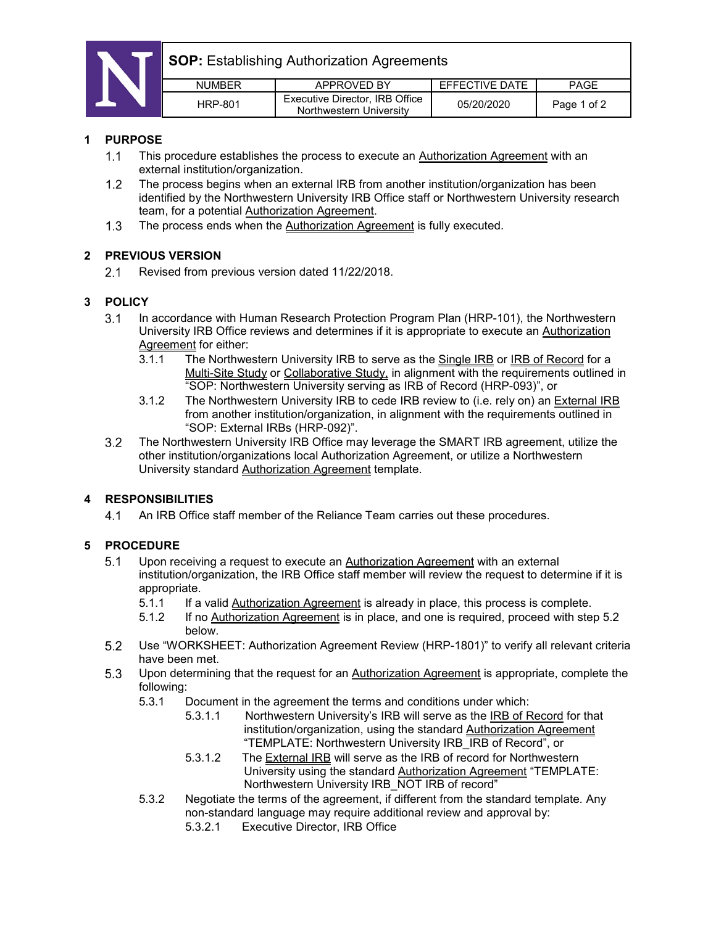

**SOP:** Establishing Authorization Agreements

| NI IMRFR | APPROVED BY                                               | FFFFCTIVE DATE | PAGE        |
|----------|-----------------------------------------------------------|----------------|-------------|
| HRP-801  | Executive Director, IRB Office<br>Northwestern University | 05/20/2020     | Page 1 of 2 |

#### **1 PURPOSE**

- $1.1$ This procedure establishes the process to execute an Authorization Agreement with an external institution/organization.
- $1.2$ The process begins when an external IRB from another institution/organization has been identified by the Northwestern University IRB Office staff or Northwestern University research team, for a potential **Authorization Agreement**.
- The process ends when the Authorization Agreement is fully executed.  $1.3$

### **2 PREVIOUS VERSION**

 $2.1$ Revised from previous version dated 11/22/2018.

# **3 POLICY**

- $3.1$ In accordance with Human Research Protection Program Plan (HRP-101), the Northwestern University IRB Office reviews and determines if it is appropriate to execute an Authorization Agreement for either:
	- 3.1.1 The Northwestern University IRB to serve as the Single IRB or IRB of Record for a Multi-Site Study or Collaborative Study, in alignment with the requirements outlined in "SOP: Northwestern University serving as IRB of Record (HRP-093)", or
	- 3.1.2 The Northwestern University IRB to cede IRB review to (i.e. rely on) an External IRB from another institution/organization, in alignment with the requirements outlined in "SOP: External IRBs (HRP-092)".
- $3.2$ The Northwestern University IRB Office may leverage the SMART IRB agreement, utilize the other institution/organizations local Authorization Agreement, or utilize a Northwestern University standard Authorization Agreement template.

# **4 RESPONSIBILITIES**

 $4.1$ An IRB Office staff member of the Reliance Team carries out these procedures.

# **5 PROCEDURE**

- Upon receiving a request to execute an Authorization Agreement with an external  $5.1$ institution/organization, the IRB Office staff member will review the request to determine if it is appropriate.
	- 5.1.1 If a valid Authorization Agreement is already in place, this process is complete.
	- 5.1.2 If no Authorization Agreement is in place, and one is required, proceed with step 5.2 below.
- $5.2$ Use "WORKSHEET: Authorization Agreement Review (HRP-1801)" to verify all relevant criteria have been met.
- 5.3 Upon determining that the request for an **Authorization Agreement** is appropriate, complete the following:
	- 5.3.1 Document in the agreement the terms and conditions under which:
		- 5.3.1.1 Northwestern University's IRB will serve as the IRB of Record for that institution/organization, using the standard Authorization Agreement "TEMPLATE: Northwestern University IRB\_IRB of Record", or
		- 5.3.1.2 The External IRB will serve as the IRB of record for Northwestern University using the standard Authorization Agreement "TEMPLATE: Northwestern University IRB NOT IRB of record"
	- 5.3.2 Negotiate the terms of the agreement, if different from the standard template. Any non-standard language may require additional review and approval by:
		- 5.3.2.1 Executive Director, IRB Office